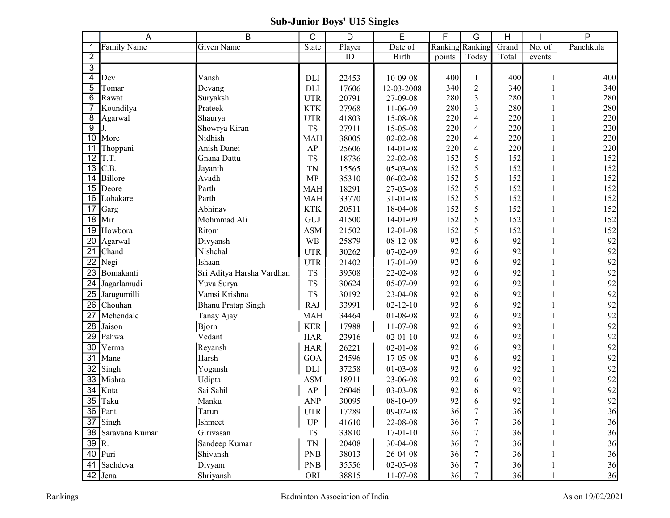## Sub-Junior Boys' U15 Singles

|                         | A                    | B                         | C                          | D      | E              | F      | G               | Н     |              | $\overline{P}$ |
|-------------------------|----------------------|---------------------------|----------------------------|--------|----------------|--------|-----------------|-------|--------------|----------------|
| 1                       | <b>Family Name</b>   | <b>Given Name</b>         | <b>State</b>               | Player | Date of        |        | Ranking Ranking | Grand | No. of       | Panchkula      |
| $\overline{2}$          |                      |                           |                            | ID     | <b>Birth</b>   | points | Today           | Total | events       |                |
| $\overline{3}$          |                      |                           |                            |        |                |        |                 |       |              |                |
| $\overline{\mathbf{4}}$ | Dev                  | Vansh                     | DLI                        | 22453  | 10-09-08       | 400    |                 | 400   |              | 400            |
| $\overline{5}$          | Tomar                | Devang                    | DLI                        | 17606  | 12-03-2008     | 340    | $\mathfrak{2}$  | 340   |              | 340            |
| 6                       | Rawat                | Suryaksh                  | <b>UTR</b>                 | 20791  | 27-09-08       | 280    | 3               | 280   |              | 280            |
| $\overline{7}$          | Koundilya            | Prateek                   | <b>KTK</b>                 | 27968  | 11-06-09       | 280    | 3               | 280   |              | 280            |
| $\overline{8}$          | Agarwal              | Shaurya                   | <b>UTR</b>                 | 41803  | 15-08-08       | 220    | $\overline{4}$  | 220   |              | 220            |
| $\overline{9}$          |                      | Showrya Kiran             | TS                         | 27911  | 15-05-08       | 220    | $\overline{4}$  | 220   |              | 220            |
| 10                      | More                 | Nidhish                   | <b>MAH</b>                 | 38005  | $02 - 02 - 08$ | 220    | $\overline{4}$  | 220   |              | 220            |
| $\overline{11}$         | Thoppani             | Anish Danei               | AP                         | 25606  | $14-01-08$     | 220    | $\overline{4}$  | 220   |              | 220            |
| 12                      | T.T.                 | Gnana Dattu               | <b>TS</b>                  | 18736  | $22 - 02 - 08$ | 152    | 5               | 152   |              | 152            |
| $\overline{13}$         | C.B.                 | Jayanth                   | <b>TN</b>                  | 15565  | 05-03-08       | 152    | 5               | 152   |              | 152            |
| 14                      | Billore              | Avadh                     | <b>MP</b>                  | 35310  | $06 - 02 - 08$ | 152    | 5               | 152   |              | 152            |
| $\overline{15}$         | Deore                | Parth                     | <b>MAH</b>                 | 18291  | 27-05-08       | 152    | 5               | 152   |              | 152            |
| 16                      | Lohakare             | Parth                     | <b>MAH</b>                 | 33770  | $31 - 01 - 08$ | 152    | 5               | 152   |              | 152            |
| 17                      | Garg                 | Abhinav                   | <b>KTK</b>                 | 20511  | 18-04-08       | 152    | 5               | 152   |              | 152            |
| 18                      | Mir                  | Mohmmad Ali               | GUJ                        | 41500  | $14-01-09$     | 152    | 5               | 152   |              | 152            |
| 19                      | Howbora              | Ritom                     | <b>ASM</b>                 | 21502  | $12 - 01 - 08$ | 152    | 5               | 152   |              | 152            |
| 20                      | Agarwal              | Divyansh                  | <b>WB</b>                  | 25879  | $08 - 12 - 08$ | 92     | 6               | 92    |              | 92             |
| 21                      | Chand                | Nishchal                  | <b>UTR</b>                 | 30262  | $07 - 02 - 09$ | 92     | 6               | 92    |              | 92             |
| $\overline{22}$         | Negi                 | Ishaan                    | <b>UTR</b>                 | 21402  | $17-01-09$     | 92     | 6               | 92    |              | 92             |
| 23                      | Bomakanti            | Sri Aditya Harsha Vardhan | <b>TS</b>                  | 39508  | 22-02-08       | 92     | 6               | 92    |              | 92             |
| 24                      | Jagarlamudi          | Yuva Surya                | <b>TS</b>                  | 30624  | 05-07-09       | 92     | 6               | 92    |              | 92             |
| 25                      | Jarugumilli          | Vamsi Krishna             | <b>TS</b>                  | 30192  | 23-04-08       | 92     | 6               | 92    |              | 92             |
| 26                      | Chouhan              | <b>Bhanu Pratap Singh</b> | RAJ                        | 33991  | $02 - 12 - 10$ | 92     | 6               | 92    |              | 92             |
| 27                      | Mehendale            | Tanay Ajay                | MAH                        | 34464  | $01 - 08 - 08$ | 92     | 6               | 92    |              | 92             |
| 28                      | Jaison               | Bjorn                     | KER                        | 17988  | $11-07-08$     | 92     | 6               | 92    |              | 92             |
| 29                      | Pahwa                | Vedant                    | <b>HAR</b>                 | 23916  | $02 - 01 - 10$ | 92     | 6               | 92    |              | 92             |
| 30                      | Verma                | Reyansh                   | <b>HAR</b>                 | 26221  | $02 - 01 - 08$ | 92     | 6               | 92    |              | 92             |
| 31                      | Mane                 | Harsh                     | <b>GOA</b>                 | 24596  | 17-05-08       | 92     | 6               | 92    |              | 92             |
| 32                      | Singh                | Yogansh                   | DLI                        | 37258  | $01 - 03 - 08$ | 92     | 6               | 92    |              | 92             |
| 33                      | Mishra               | Udipta                    | <b>ASM</b>                 | 18911  | 23-06-08       | 92     | 6               | 92    |              | 92             |
| $\overline{34}$         | Kota                 | Sai Sahil                 | ${\sf AP}$                 | 26046  | 03-03-08       | 92     | 6               | 92    |              | 92             |
| $\overline{35}$         | Taku                 | Manku                     | <b>ANP</b>                 | 30095  | $08 - 10 - 09$ | 92     | 6               | 92    |              | 92             |
|                         | 36 Pant              | Tarun                     | UTR                        | 17289  | $09 - 02 - 08$ | 36     |                 | 36    |              | 36             |
|                         | $37$ Singh           | Ishmeet                   | $\ensuremath{\mathsf{UP}}$ | 41610  | 22-08-08       | 36     | 7               | 36    |              | 36             |
|                         | 38 Saravana Kumar    | Girivasan                 |                            | 33810  |                |        |                 |       |              | 36             |
| 39 R.                   |                      |                           | TS                         |        | $17-01-10$     | 36     |                 | 36    |              |                |
|                         |                      | Sandeep Kumar             | TN                         | 20408  | 30-04-08       | 36     |                 | 36    |              | 36             |
|                         | 40 Puri              | Shivansh                  | <b>PNB</b>                 | 38013  | 26-04-08       | 36     |                 | 36    |              | 36             |
|                         | 41 Sachdeva          | Divyam                    | <b>PNB</b>                 | 35556  | 02-05-08       | 36     |                 | 36    |              | 36             |
|                         | $\overline{42}$ Jena | Shriyansh                 | ORI                        | 38815  | $11-07-08$     | 36     |                 | 36    | $\mathbf{1}$ | 36             |